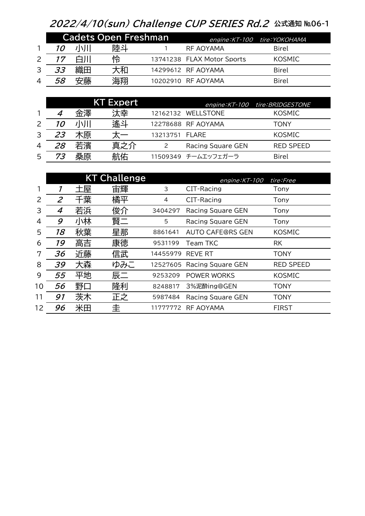## 2022/4/10(sun) Challenge CUP SERIES Rd.2 公式通知 №06-1

|                | <b>Cadets Open Freshman</b> |    |    |  |                            | engine: KT-100 tire: YOKOHAMA |  |
|----------------|-----------------------------|----|----|--|----------------------------|-------------------------------|--|
|                | 10                          | 小川 | 陸斗 |  | RF AOYAMA                  | Birel                         |  |
|                | 17                          |    | 怜  |  | 13741238 FLAX Motor Sports | <b>KOSMIC</b>                 |  |
| 3              | 33                          | 織田 | 大和 |  | 14299612 RF AOYAMA         | Birel                         |  |
| $\overline{4}$ | 58                          | 安藤 | 海翔 |  | 10202910 RF AOYAMA         | Birel                         |  |

|   |           |    | <b>KT Expert</b> |                |                     | engine: KT-100 tire: BRIDGESTONE |
|---|-----------|----|------------------|----------------|---------------------|----------------------------------|
|   |           | 金澤 | 汰幸               |                | 12162132 WELLSTONE  | <b>KOSMIC</b>                    |
|   | <i>10</i> |    | 遙가               |                | 12278688 RF AOYAMA  | TONY                             |
| 3 | 23        | 木原 |                  | 13213751 FLARE |                     | <b>KOSMIC</b>                    |
| 4 | 28        | 若濱 | 真之介              |                | Racing Square GEN   | <b>RED SPEED</b>                 |
| 5 | 73        | 桑原 | 航佑               |                | 11509349 チームエッフェガーラ | <b>Birel</b>                     |

|    |                             |    | <b>KT Challenge</b> |          | engine: KT-100           | tire:Free        |
|----|-----------------------------|----|---------------------|----------|--------------------------|------------------|
|    |                             | 土屋 | 宙輝                  | 3        | CIT-Racing               | Tony             |
| 2  | $\mathcal{Z}_{\mathcal{C}}$ | 千葉 | 橘平                  | 4        | CIT-Racing               | Tony             |
| 3  | 4                           | 若浜 | 俊介                  | 3404297  | <b>Racing Square GEN</b> | Tony             |
| 4  | 9                           | 小林 | 賢二                  | 5        | <b>Racing Square GEN</b> | Tony             |
| 5  | 18                          | 秋葉 | 星那                  | 8861641  | <b>AUTO CAFE@RS GEN</b>  | <b>KOSMIC</b>    |
| 6  | 19                          | 高吉 | 康徳                  | 9531199  | Team TKC                 | <b>RK</b>        |
| 7  | 36                          | 近藤 | 信武                  | 14455979 | <b>REVE RT</b>           | <b>TONY</b>      |
| 8  | 39                          | 大森 | ゆみこ                 | 12527605 | <b>Racing Square GEN</b> | <b>RED SPEED</b> |
| 9  | 55                          | 平地 | 辰二                  | 9253209  | POWER WORKS              | <b>KOSMIC</b>    |
| 10 | 56                          | 野口 | 隆利                  | 8248817  | 3%泥酔ing@GEN              | <b>TONY</b>      |
| 11 | 91                          | 茨木 | 正之                  | 5987484  | <b>Racing Square GEN</b> | <b>TONY</b>      |
| 12 | 96                          | 米田 | 圭                   | 11777772 | <b>RF AOYAMA</b>         | <b>FIRST</b>     |